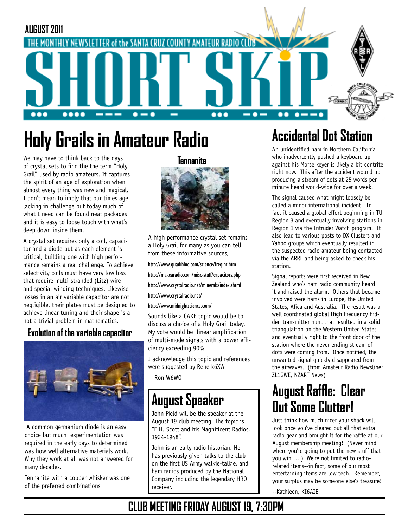

# **Holy Grails in Amateur Radio**

We may have to think back to the days of crystal sets to find the the term "Holy Grail" used by radio amateurs. It captures the spirit of an age of exploration when almost every thing was new and magical. I don't mean to imply that our times age lacking in challenge but today much of what I need can be found neat packages and it is easy to loose touch with what's deep down inside them.

A crystal set requires only a coil, capacitor and a diode but as each element is critical, building one with high performance remains a real challenge. To achieve selectivity coils must have very low loss that require multi-stranded (Litz) wire and special winding techniques. Likewise losses in an air variable capacitor are not negligible, their plates must be designed to achieve linear tuning and their shape is a not a trivial problem in mathematics.

#### **Evolution of the variable capacitor**



 A common germanium diode is an easy choice but much experimentation was required in the early days to determined was how well alternative materials work. Why they work at all was not answered for many decades.

Tennanite with a copper whisker was one of the preferred combinations

**Tennanite**



A high performance crystal set remains a Holy Grail for many as you can tell from these informative sources,

http://www.quadibloc.com/science/freqint.htm

http://makearadio.com/misc-stuff/capacitors.php

http://www.crystalradio.net/minerals/index.shtml

http://www.crystalradio.net/

http://www.midnightscience.com/

Sounds like a CAKE topic would be to discuss a choice of a Holy Grail today. My vote would be linear amplification of multi-mode signals with a power efficiency exceeding 90%

I acknowledge this topic and references were suggested by Rene k6XW

—Ron W6WO

### **August Speaker** ŕ

John Field will be the speaker at the August 19 club meeting. The topic is "E.H. Scott and his Magnificent Radios, 1924-1948".

John is an early radio historian. He has previously given talks to the club on the first US Army walkie-talkie, and ham radios produced by the National Company including the legendary HRO receiver.

# **Accidental Dot Station**

An unidentified ham in Northern California who inadvertently pushed a keyboard up against his Morse keyer is likely a bit contrite right now. This after the accident wound up producing a stream of dots at 25 words per minute heard world-wide for over a week.

The signal caused what might loosely be called a minor international incident. In fact it caused a global effort beginning in TU Region 3 and eventually involving stations in Region 1 via the Intruder Watch program. It also lead to various posts to DX Clusters and Yahoo groups which eventually resulted in the suspected radio amateur being contacted via the ARRL and being asked to check his station.

Signal reports were first received in New Zealand who's ham radio community heard it and raised the alarm. Others that became involved were hams in Europe, the United States, Afica and Australia. The result was a well coordinated global High Frequency hidden transmitter hunt that resulted in a solid triangulation on the Western United States and eventually right to the front door of the station where the never ending stream of dots were coming from. Once notified, the unwanted signal quickly disappeared from the airwaves. (from Amateur Radio Newsline: ZL1GWE, NZART News)

# **August Raffle: Clear Out Some Clutter!**

Just think how much nicer your shack will look once you've cleared out all that extra radio gear and brought it for the raffle at our August membership meeting! (Never mind where you're going to put the new stuff that you win ….) We're not limited to radiorelated items--in fact, some of our most entertaining items are low tech. Remember, your surplus may be someone else's treasure!

--Kathleen, KI6AIE

# **CLUB MEETING FRIDAY AUGUST 19, 7:30PM**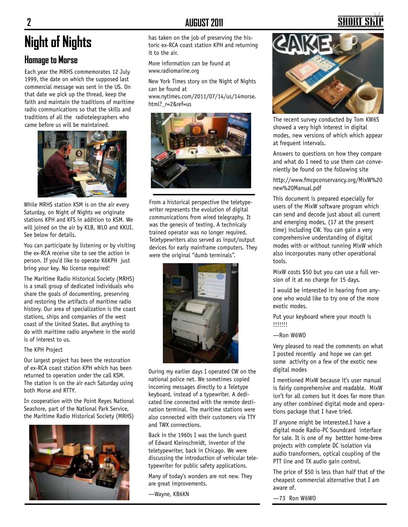# **Night of Nights**

### **Homage to Morse**

Each year the MRHS commemorates 12 July 1999, the date on which the supposed last commercial message was sent in the US. On that date we pick up the thread, keep the faith and maintain the traditions of maritime radio communications so that the skills and traditions of all the radiotelegraphers who came before us will be maintained.



While MRHS station KSM is on the air every Saturday, on Night of Nights we originate stations KPH and KFS in addition to KSM. We will joined on the air by KLB, WLO and KKUI. See below for details.

You can participate by listening or by visiting the ex-RCA receive site to see the action in person. If you'd like to operate K6KPH just bring your key. No license required!

The Maritime Radio Historical Society (MRHS) is a small group of dedicated individuals who share the goals of documenting, preserving and restoring the artifacts of maritime radio history. Our area of specialization is the coast stations, ships and companies of the west coast of the United States. But anything to do with maritime radio anywhere in the world is of interest to us.

#### The KPH Project

Our largest project has been the restoration of ex-RCA coast station KPH which has been returned to operation under the call KSM. The station is on the air each Saturday using both Morse and RTTY.

In cooperation with the Point Reyes National Seashore, part of the National Park Service, the Maritime Radio Historical Society (MRHS)



has taken on the job of preserving the historic ex-RCA coast station KPH and returning it to the air.

More information can be found at www.radiomarine.org

New York Times story on the Night of Nights can be found at

www.nytimes.com/2011/07/14/us/14morse. html?\_r=2&ref=us



From a historical perspective the teletypewriter represents the evolution of digital communications from wired telegraphy. It was the genesis of texting. A technicaly trained operator was no longer required. Teletypewriters also served as input/output devices for early mainframe computers. They were the original "dumb terminals".



During my earlier days I operated CW on the national police net. We sometimes copied incoming messages directly to a Teletype keyboard, instead of a typewriter. A dedicated line connected with the remote destination terminal. The maritime stations were also connected with their customers via TTY and TWX connections.

Back in the 1960s I was the lunch guest of Edward Kleinschmidt, inventor of the teletypewriter, back in Chicago. We were discussing the introduction of vehicular teletypewriter for public safety applications.

Many of today's wonders are not new. They are great improvements.

—Wayne, KB6KN

SHART S



The recent survey conducted by Tom KW6S showed a very high interest in digital modes, new versions of which which appear at frequent intervals.

Answers to questions on how they compare and what do I need to use them can conveniently be found on the following site

http://www.fmcpconservancy.org/MixW%20 new%20Manual.pdf

This document is prepared especially for users of the MixW software program which can send and decode just about all current and emerging modes, (17 at the present time) including CW. You can gain a very comprehensive understanding of digital modes with or without running MixW which also incorporates many other operational tools.

MixW costs \$50 but you can use a full version of it at no charge for 15 days.

I would be interested in hearing from anyone who would like to try one of the more exotic modes.

Put your keyboard where your mouth is !!!!!!!

#### —Ron W6WO

Very pleased to read the comments on what I posted recently and hope we can get some activity on a few of the exotic new digital modes

I mentioned MixW because it's user manual is fairly comprehensive and readable. MixW isn't for all comers but it does far more than any other combined digital mode and operations package that I have tried.

If anyone might be interested.I have a digital mode Radio-PC Soundcard interface for sale. It is one of my bettter home-brew projects with complete DC isolation via audio transformers, optical coupling of the PTT line and TX audio gain control.

The price of \$50 is less than half that of the cheapest commercial alternative that I am aware of.

—73 Ron W6WO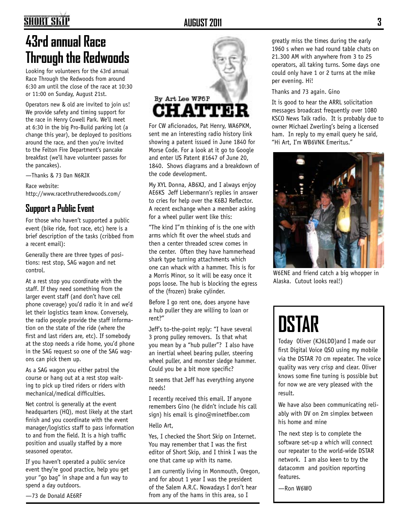# **SHORT SKIP**

### **AUGUST 2011 3**

# **43rd annual Race Through the Redwoods**

Looking for volunteers for the 43rd annual Race Through the Redwoods from around 6:30 am until the close of the race at 10:30 or 11:00 on Sunday, August 21st.

Operators new & old are invited to join us! We provide safety and timing support for the race in Henry Cowell Park. We'll meet at 6:30 in the big Pro-Build parking lot (a change this year), be deployed to positions around the race, and then you're invited to the Felton Fire Department's pancake breakfast (we'll have volunteer passes for the pancakes).

—Thanks & 73 Dan N6RJX

Race website: http://www.racethrutheredwoods.com/

### **Support a Public Event**

For those who haven't supported a public event (bike ride, foot race, etc) here is a brief description of the tasks (cribbed from a recent email):

Generally there are three types of positions: rest stop, SAG wagon and net control.

At a rest stop you coordinate with the staff. If they need something from the larger event staff (and don't have cell phone coverage) you'd radio it in and we'd let their logistics team know. Conversely, the radio people provide the staff information on the state of the ride (where the first and last riders are, etc). If somebody at the stop needs a ride home, you'd phone in the SAG request so one of the SAG wagons can pick them up.

As a SAG wagon you either patrol the course or hang out at a rest stop waiting to pick up tired riders or riders with mechanical/medical difficulties.

Net control is generally at the event headquarters (HQ), most likely at the start finish and you coordinate with the event manager/logistics staff to pass information to and from the field. It is a high traffic position and usually staffed by a more seasoned operator.

If you haven't operated a public service event they're good practice, help you get your "go bag" in shape and a fun way to spend a day outdoors.

—73 de Donald AE6RF



For CW aficionados, Pat Henry, WA6PKM, sent me an interesting radio history link showing a patent issued in June 1840 for Morse Code. For a look at it go to Google and enter US Patent #1647 of June 20, 1840. Shows diagrams and a breakdown of the code development.

My XYL Donna, AB6XJ, and I always enjoy AE6KS Jeff Liebermann's replies in answer to cries for help over the K6BJ Reflector. A recent exchange when a member asking for a wheel puller went like this:

"The kind I"m thinking of is the one with arms which fit over the wheel studs and then a center threaded screw comes in the center. Often they have hammerhead shark type turning attachments which one can whack with a hammer. This is for a Morris Minor, so it will be easy once it pops loose. The hub is blocking the egress of the (frozen) brake cylinder.

Before I go rent one, does anyone have a hub puller they are willing to loan or rent?"

Jeff's to-the-point reply: "I have several 3 prong pulley removers. Is that what you mean by a "hub puller"? I also have an inertial wheel bearing puller, steering wheel puller, and monster sledge hammer. Could you be a bit more specific?

It seems that Jeff has everything anyone needs!

I recently received this email. If anyone remembers Gino (he didn't include his call sign) his email is gino@minetfiber.com

#### Hello Art,

Yes, I checked the Short Skip on Internet. You may remember that I was the first editor of Short Skip, and I think I was the one that came up with its name.

I am currently living in Monmouth, Oregon, and for about 1 year I was the president of the Salem A.R.C. Nowadays I don't hear from any of the hams in this area, so I

greatly miss the times during the early 1960 s when we had round table chats on 21.300 AM with anywhere from 3 to 25 operators, all taking turns. Some days one could only have 1 or 2 turns at the mike per evening. Hi!

#### Thanks and 73 again. Gino

It is good to hear the ARRL solicitation messages broadcast frequently over 1080 KSCO News Talk radio. It is probably due to owner Michael Zwerling's being a licensed ham. In reply to my email query he said, "Hi Art, I'm WB6VNK Emeritus."



W6ENE and friend catch a big whopper in Alaska. Cutout looks real!)

# **DSTAR**

Today Oliver (KJ6LDD)and I made our first Digital Voice QSO using my mobile via the DSTAR 70 cm repeater. The voice quality was very crisp and clear. Oliver knows some fine tuning is possible but for now we are very pleased with the result.

We have also been communicating reliably with DV on 2m simplex between his home and mine

The next step is to complete the software set-up a which will connect our repeater to the world-wide DSTAR network. I am also keen to try the datacomm and position reporting features.

—Ron W6WO